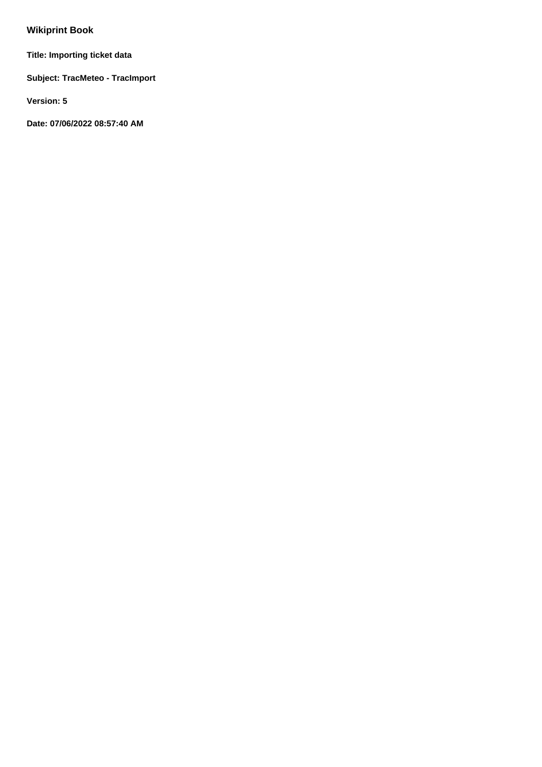# **Wikiprint Book**

**Title: Importing ticket data**

**Subject: TracMeteo - TracImport**

**Version: 5**

**Date: 07/06/2022 08:57:40 AM**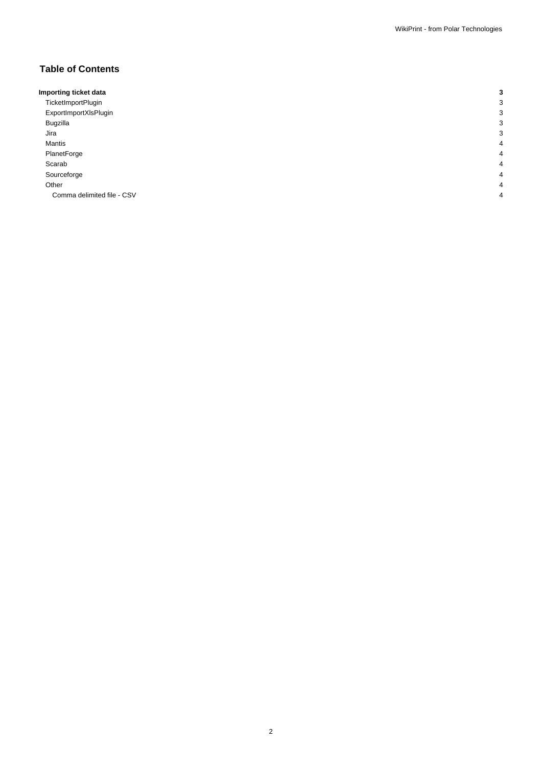## **Table of Contents**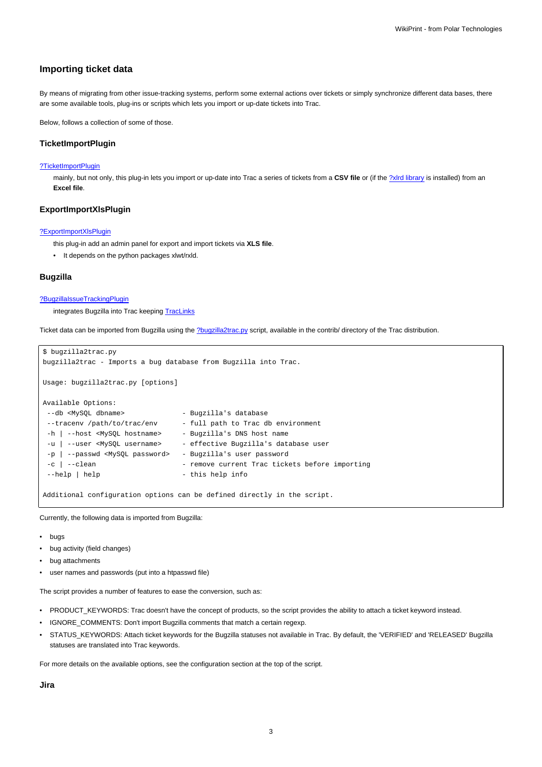## **Importing ticket data**

By means of migrating from other issue-tracking systems, perform some external actions over tickets or simply synchronize different data bases, there are some available tools, plug-ins or scripts which lets you import or up-date tickets into Trac.

Below, follows a collection of some of those.

## **TicketImportPlugin**

#### [?TicketImportPlugin](http://trac-hacks.org/wiki/TicketImportPlugin)

mainly, but not only, this plug-in lets you import or up-date into Trac a series of tickets from a CSV file or (if the [?xlrd library](http://pypi.python.org/pypi/xlrd) is installed) from an **Excel file**.

#### **ExportImportXlsPlugin**

#### [?ExportImportXlsPlugin](http://trac-hacks.org/wiki/ExportImportXlsPlugin)

this plug-in add an admin panel for export and import tickets via **XLS file**.

• It depends on the python packages xlwt/rxld.

## **Bugzilla**

#### [?BugzillaIssueTrackingPlugin](http://trac-hacks.org/wiki/BugzillaIssueTrackingPlugin)

integrates Bugzilla into Trac keeping [TracLinks](https://meteo.unican.es/trac/wiki/TracLinks)

Ticket data can be imported from Bugzilla using the [?bugzilla2trac.py](http://trac.edgewall.org/browser/trunk/contrib/bugzilla2trac.py) script, available in the contrib/ directory of the Trac distribution.

```
$ bugzilla2trac.py
bugzilla2trac - Imports a bug database from Bugzilla into Trac.
Usage: bugzilla2trac.py [options]
Available Options:
--db <MySQL dbname> - Bugzilla's database
--tracenv /path/to/trac/env - full path to Trac db environment
-h | --host <MySQL hostname> - Bugzilla's DNS host name
-u | --user <MySQL username> - effective Bugzilla's database user
 -p | --passwd <MySQL password> - Bugzilla's user password
 -c | --clean - remove current Trac tickets before importing
--help | help --help info
```
Additional configuration options can be defined directly in the script.

Currently, the following data is imported from Bugzilla:

- bugs
- bug activity (field changes)
- bug attachments
- user names and passwords (put into a htpasswd file)

The script provides a number of features to ease the conversion, such as:

- PRODUCT\_KEYWORDS: Trac doesn't have the concept of products, so the script provides the ability to attach a ticket keyword instead.
- IGNORE\_COMMENTS: Don't import Bugzilla comments that match a certain regexp.
- STATUS KEYWORDS: Attach ticket keywords for the Bugzilla statuses not available in Trac. By default, the 'VERIFIED' and 'RELEASED' Bugzilla statuses are translated into Trac keywords.

For more details on the available options, see the configuration section at the top of the script.

**Jira**